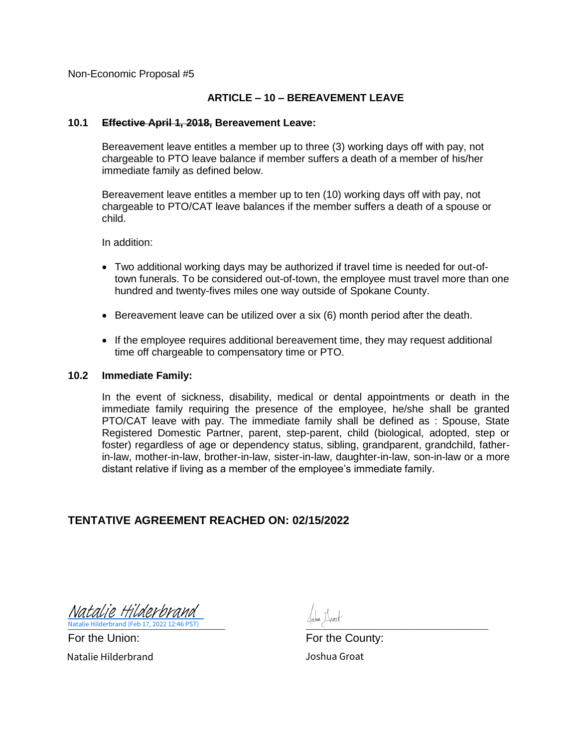#### **ARTICLE – 10 – BEREAVEMENT LEAVE**

#### **10.1 Effective April 1, 2018, Bereavement Leave:**

Bereavement leave entitles a member up to three (3) working days off with pay, not chargeable to PTO leave balance if member suffers a death of a member of his/her immediate family as defined below.

Bereavement leave entitles a member up to ten (10) working days off with pay, not chargeable to PTO/CAT leave balances if the member suffers a death of a spouse or child.

In addition:

- Two additional working days may be authorized if travel time is needed for out-oftown funerals. To be considered out-of-town, the employee must travel more than one hundred and twenty-fives miles one way outside of Spokane County.
- Bereavement leave can be utilized over a six (6) month period after the death.
- If the employee requires additional bereavement time, they may request additional time off chargeable to compensatory time or PTO.

#### **10.2 Immediate Family:**

In the event of sickness, disability, medical or dental appointments or death in the immediate family requiring the presence of the employee, he/she shall be granted PTO/CAT leave with pay. The immediate family shall be defined as : Spouse, State Registered Domestic Partner, parent, step-parent, child (biological, adopted, step or foster) regardless of age or dependency status, sibling, grandparent, grandchild, fatherin-law, mother-in-law, brother-in-law, sister-in-law, daughter-in-law, son-in-law or a more distant relative if living as a member of the employee's immediate family.

#### **TENTATIVE AGREEMENT REACHED ON: 02/15/2022**

**Natalie Hilderbrand (Feb 17, 2022 12:46 PST)** 2002 12:5 (Feb 17, 2022 12:46 PST) [Natalie Hilderbrand](https://na4.documents.adobe.com/verifier?tx=CBJCHBCAABAAg8TKdlsgLfgon0Ky5r7K_58lm4iWwF8m)

For the Union: For the County: Natalie Hilderbrand Joshua Groat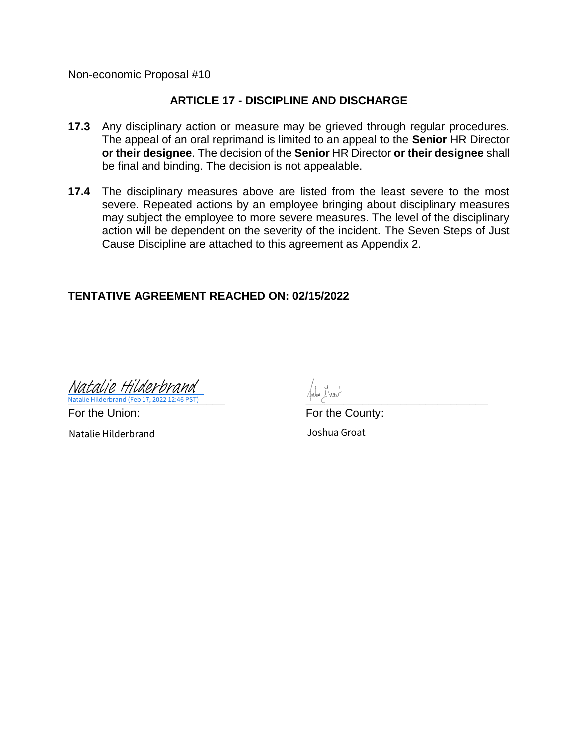# **ARTICLE 17 - DISCIPLINE AND DISCHARGE**

- **17.3** Any disciplinary action or measure may be grieved through regular procedures. The appeal of an oral reprimand is limited to an appeal to the **Senior** HR Director **or their designee**. The decision of the **Senior** HR Director **or their designee** shall be final and binding. The decision is not appealable.
- **17.4** The disciplinary measures above are listed from the least severe to the most severe. Repeated actions by an employee bringing about disciplinary measures may subject the employee to more severe measures. The level of the disciplinary action will be dependent on the severity of the incident. The Seven Steps of Just Cause Discipline are attached to this agreement as Appendix 2.

# **TENTATIVE AGREEMENT REACHED ON: 02/15/2022**

**Natalie Hilderbrand (Feb 17, 2022 12:46 PST)** [Natalie Hilderbrand](https://na4.documents.adobe.com/verifier?tx=CBJCHBCAABAAg8TKdlsgLfgon0Ky5r7K_58lm4iWwF8m)

For the Union: The County: For the County: Natalie Hilderbrand Joshua Groat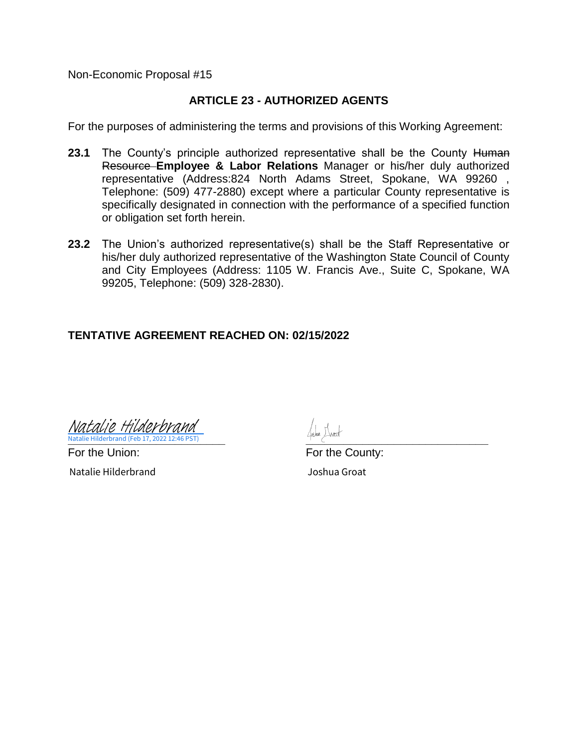# **ARTICLE 23 - AUTHORIZED AGENTS**

For the purposes of administering the terms and provisions of this Working Agreement:

- **23.1** The County's principle authorized representative shall be the County Human Resource **Employee & Labor Relations** Manager or his/her duly authorized representative (Address:824 North Adams Street, Spokane, WA 99260 , Telephone: (509) 477-2880) except where a particular County representative is specifically designated in connection with the performance of a specified function or obligation set forth herein.
- **23.2** The Union's authorized representative(s) shall be the Staff Representative or his/her duly authorized representative of the Washington State Council of County and City Employees (Address: 1105 W. Francis Ave., Suite C, Spokane, WA 99205, Telephone: (509) 328-2830).

# **TENTATIVE AGREEMENT REACHED ON: 02/15/2022**

**Natalie Hilderbrand (Feb 17, 2022 12:46 PST)** 2002 2003 2004 2008 2009 2012 2023 2024 2022 2023 2024 2022 2023 202 Natalie Hilderbrand (Feb 17, 2022 12:46 PST) [Natalie Hilderbrand](https://na4.documents.adobe.com/verifier?tx=CBJCHBCAABAAg8TKdlsgLfgon0Ky5r7K_58lm4iWwF8m)

For the Union: For the County:

Natalie Hilderbrand Joshua Groat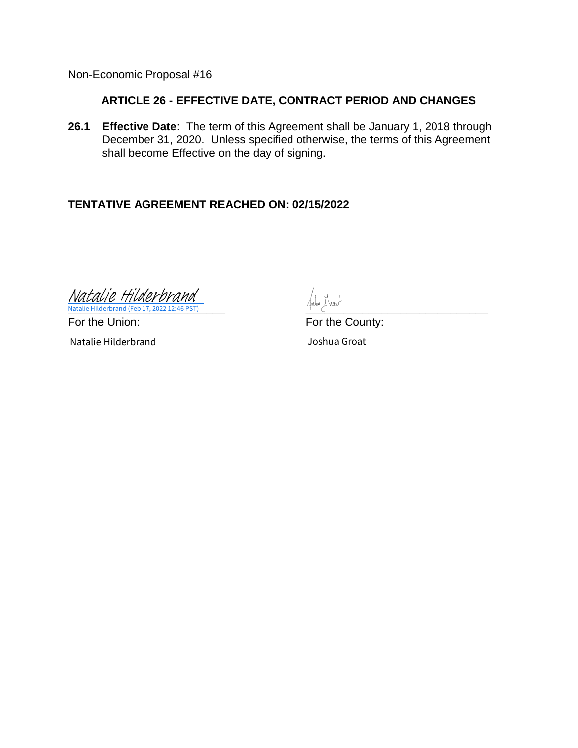# **ARTICLE 26 - EFFECTIVE DATE, CONTRACT PERIOD AND CHANGES**

**26.1 Effective Date**: The term of this Agreement shall be January 1, 2018 through December 31, 2020. Unless specified otherwise, the terms of this Agreement shall become Effective on the day of signing.

# **TENTATIVE AGREEMENT REACHED ON: 02/15/2022**

**Natalie Hilderbrand (Feb 17, 2022 12:46 PST)** 2002 2003 2004 2007 2007 2008 2009 2012 2023 2024 2022 2023 2024 202 Natalie Hilderbra [Natalie Hilderbrand](https://na4.documents.adobe.com/verifier?tx=CBJCHBCAABAAg8TKdlsgLfgon0Ky5r7K_58lm4iWwF8m)

Natalie Hilderbrand Joshua Groat

For the Union: For the County: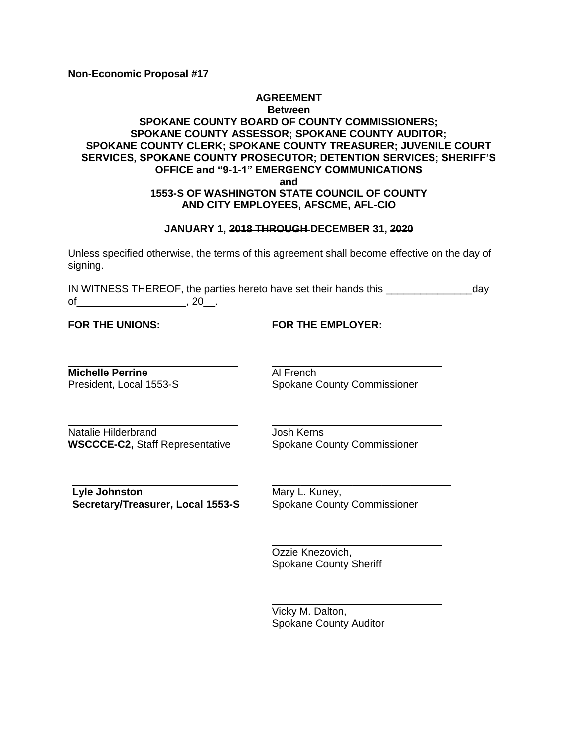#### **AGREEMENT Between SPOKANE COUNTY BOARD OF COUNTY COMMISSIONERS; SPOKANE COUNTY ASSESSOR; SPOKANE COUNTY AUDITOR; SPOKANE COUNTY CLERK; SPOKANE COUNTY TREASURER; JUVENILE COURT SERVICES, SPOKANE COUNTY PROSECUTOR; DETENTION SERVICES; SHERIFF'S OFFICE and "9-1-1" EMERGENCY COMMUNICATIONS and 1553-S OF WASHINGTON STATE COUNCIL OF COUNTY**

# **AND CITY EMPLOYEES, AFSCME, AFL-CIO JANUARY 1, 2018 THROUGH DECEMBER 31, 2020**

Unless specified otherwise, the terms of this agreement shall become effective on the day of signing.

IN WITNESS THEREOF, the parties hereto have set their hands this \_\_\_\_\_\_\_\_\_\_\_\_\_\_\_day  $of$  , 20 , 20 , 20 , 20 ,  $($ 

**FOR THE UNIONS: FOR THE EMPLOYER:**

**Michelle Perrine Al French** 

President, Local 1553-S<br>
Spokane County Commissioner

Natalie Hilderbrand **Josh Kerns WSCCCE-C2, Staff Representative Spokane County Commissioner** 

**Lyle Johnston** Mary L. Kuney, **Secretary/Treasurer, Local 1553-S** Spokane County Commissioner

\_\_\_\_\_\_\_\_\_\_\_\_\_\_\_\_\_\_\_\_\_\_\_\_\_\_\_\_\_\_\_

Ozzie Knezovich, Spokane County Sheriff

Vicky M. Dalton, Spokane County Auditor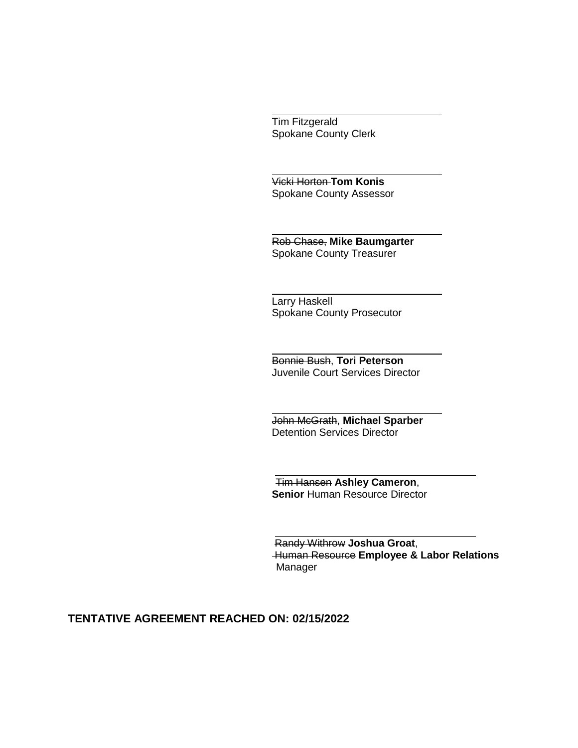Tim Fitzgerald Spokane County Clerk

Vicki Horton **Tom Konis** Spokane County Assessor

Rob Chase, **Mike Baumgarter** Spokane County Treasurer

Larry Haskell Spokane County Prosecutor

Bonnie Bush, **Tori Peterson** Juvenile Court Services Director

John McGrath, **Michael Sparber** Detention Services Director

 Tim Hansen **Ashley Cameron**, **Senior Human Resource Director** 

Randy Withrow **Joshua Groat**, Human Resource **Employee & Labor Relations**  Manager

# **TENTATIVE AGREEMENT REACHED ON: 02/15/2022**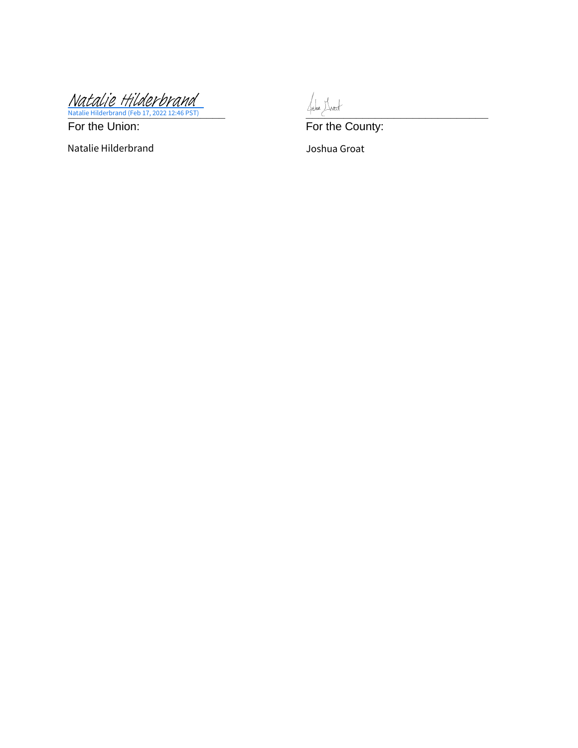**\_\_\_\_\_\_\_\_\_\_\_\_\_\_\_\_\_\_\_\_\_\_\_\_\_ [\\_\\_\\_\\_\\_\\_\\_\\_\\_\\_\\_\\_\\_\\_\\_\\_\\_\\_\\_\\_\\_\\_\\_\\_\\_\\_\\_\\_\\_](https://na4.documents.adobe.com/verifier?tx=CBJCHBCAABAAg8TKdlsgLfgon0Ky5r7K_58lm4iWwF8m)** Natalie Hilderbrand (Feb 17, 2022 12:46 PST) [Natalie Hilderbrand](https://na4.documents.adobe.com/verifier?tx=CBJCHBCAABAAg8TKdlsgLfgon0Ky5r7K_58lm4iWwF8m)

Natalie Hilderbrand Joshua Groat

For the Union: For the County: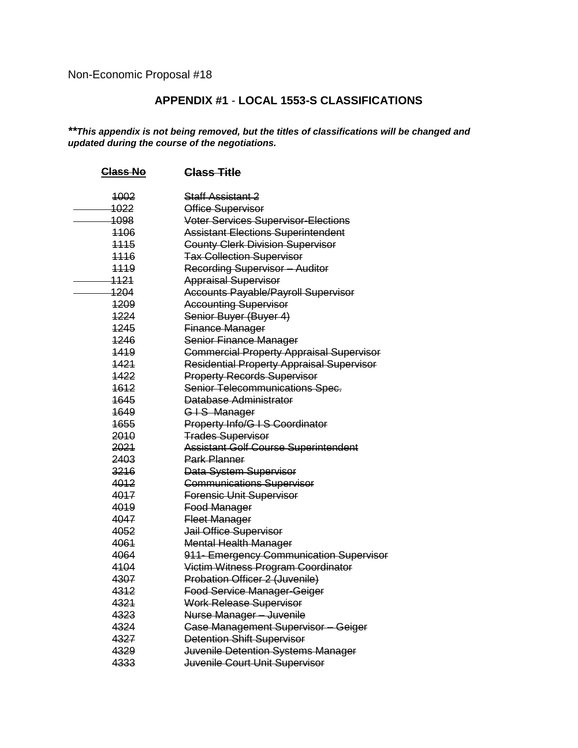# **APPENDIX #1** - **LOCAL 1553-S CLASSIFICATIONS**

*\*\*This appendix is not being removed, but the titles of classifications will be changed and updated during the course of the negotiations.*

| Class No        | <b>Class Title</b>                               |
|-----------------|--------------------------------------------------|
| 4002            | <del>Staff Assistant 2</del>                     |
| 1022            | Office Supervisor                                |
| <del>1098</del> | Voter Services Supervisor-Elections              |
| 4406            | <b>Assistant Elections Superintendent</b>        |
| 1115            | <b>County Clerk Division Supervisor</b>          |
| 1116            | <b>Tax Collection Supervisor</b>                 |
| <u>1119</u>     | <b>Recording Supervisor - Auditor</b>            |
| <u> 1121 </u>   | <b>Appraisal Supervisor</b>                      |
| 1204            | <b>Accounts Payable/Payroll Supervisor</b>       |
| <del>1209</del> | <b>Accounting Supervisor</b>                     |
| 1224            | Senior Buyer (Buyer 4)                           |
| 1245            | Finance Manager                                  |
| 1246            | Senior Finance Manager                           |
| 1419            | <b>Commercial Property Appraisal Supervisor</b>  |
| 1421            | <b>Residential Property Appraisal Supervisor</b> |
| 1422            | <b>Property Records Supervisor</b>               |
| 1612            | Senior Telecommunications Spec.                  |
| 1645            | Database Administrator                           |
| 1649            | GIS Manager                                      |
| 1655            | Property Info/G I S Coordinator                  |
| 2010            | <b>Trades Supervisor</b>                         |
| 2021            | <b>Assistant Golf Course Superintendent</b>      |
| 2403            | <b>Park Planner</b>                              |
| 3216            | Data System Supervisor                           |
| 4012            | <b>Communications Supervisor</b>                 |
| 4017            | <b>Forensic Unit Supervisor</b>                  |
| 4019            | <b>Food Manager</b>                              |
| 4047            | <b>Fleet Manager</b>                             |
| 4052            | Jail Office Supervisor                           |
| 4061            | <b>Mental Health Manager</b>                     |
| 4064            | 911- Emergency Communication Supervisor          |
| 4104            | Victim Witness Program Coordinator               |
| 4307            | Probation Officer 2 (Juvenile)                   |
| 4312            | Food Service Manager-Geiger                      |
| 4321            | <b>Work Release Supervisor</b>                   |
| 4323            | Nurse Manager - Juvenile                         |
| 4324            | Case Management Supervisor - Geiger              |
| 4327            | <b>Detention Shift Supervisor</b>                |
| 4329            | Juvenile Detention Systems Manager               |
| 4333            | Juvenile Court Unit Supervisor                   |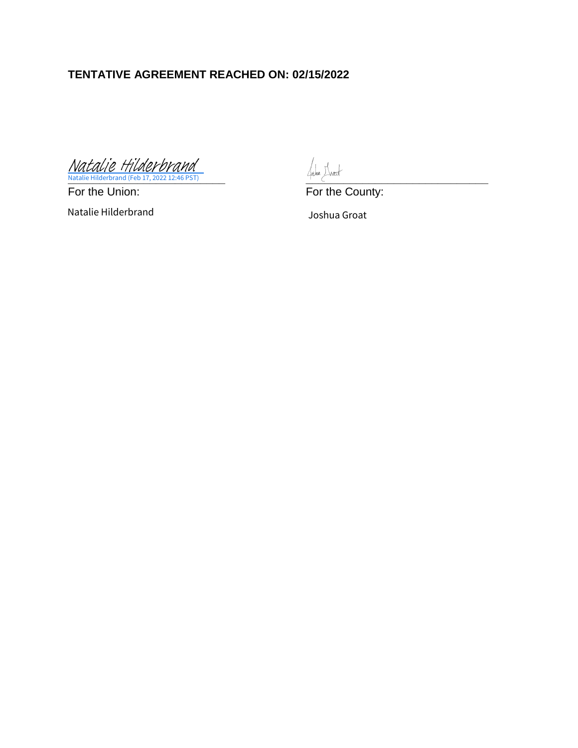# **TENTATIVE AGREEMENT REACHED ON: 02/15/2022**

**\_\_\_\_\_\_\_\_\_\_\_\_\_\_\_\_\_\_\_\_\_\_\_\_\_ [\\_\\_\\_\\_\\_\\_\\_\\_\\_\\_\\_\\_\\_\\_\\_\\_\\_\\_\\_\\_\\_\\_\\_\\_\\_\\_\\_\\_\\_](https://na4.documents.adobe.com/verifier?tx=CBJCHBCAABAAg8TKdlsgLfgon0Ky5r7K_58lm4iWwF8m)** Natalie Hilderbrand (Feb 17, 2022 12:46 PST) [Natalie Hilderbrand](https://na4.documents.adobe.com/verifier?tx=CBJCHBCAABAAg8TKdlsgLfgon0Ky5r7K_58lm4iWwF8m)

For the Union: For the County:

Natalie Hilderbrand Joshua Groat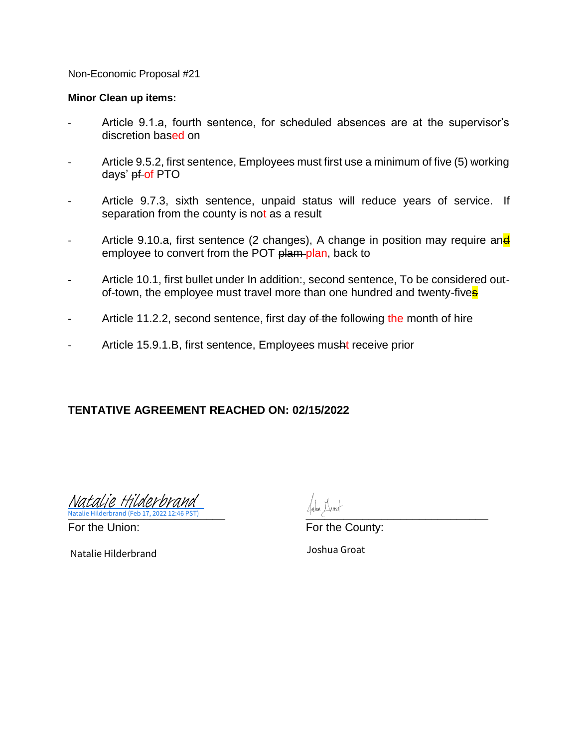#### **Minor Clean up items:**

- Article 9.1.a, fourth sentence, for scheduled absences are at the supervisor's discretion based on
- Article 9.5.2, first sentence, Employees must first use a minimum of five (5) working days' pf-of PTO
- Article 9.7.3, sixth sentence, unpaid status will reduce years of service. If separation from the county is not as a result
- Article 9.10.a, first sentence (2 changes), A change in position may require and employee to convert from the POT plam-plan, back to
- Article 10.1, first bullet under In addition:, second sentence, To be considered outof-town, the employee must travel more than one hundred and twenty-fives
- Article 11.2.2, second sentence, first day of the following the month of hire
- Article 15.9.1.B, first sentence, Employees musht receive prior

#### **TENTATIVE AGREEMENT REACHED ON: 02/15/2022**

**Natalie Hilderbrand (Feb 17, 2022 12:46 PST)** 2002 12:5 (Feb 17, 2022 12:46 PST) [Natalie Hilderbrand](https://na4.documents.adobe.com/verifier?tx=CBJCHBCAABAAg8TKdlsgLfgon0Ky5r7K_58lm4iWwF8m)

Natalie Hilderbrand Joshua Groat

For the Union: The County: For the County: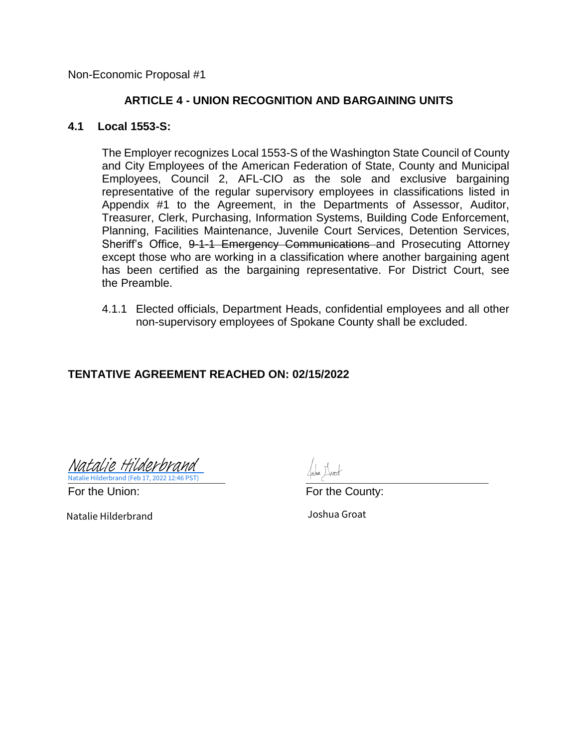#### **ARTICLE 4 - UNION RECOGNITION AND BARGAINING UNITS**

#### **4.1 Local 1553-S:**

The Employer recognizes Local 1553-S of the Washington State Council of County and City Employees of the American Federation of State, County and Municipal Employees, Council 2, AFL-CIO as the sole and exclusive bargaining representative of the regular supervisory employees in classifications listed in Appendix #1 to the Agreement, in the Departments of Assessor, Auditor, Treasurer, Clerk, Purchasing, Information Systems, Building Code Enforcement, Planning, Facilities Maintenance, Juvenile Court Services, Detention Services, Sheriff's Office, 9-1-1 Emergency Communications and Prosecuting Attorney except those who are working in a classification where another bargaining agent has been certified as the bargaining representative. For District Court, see the Preamble.

4.1.1 Elected officials, Department Heads, confidential employees and all other non-supervisory employees of Spokane County shall be excluded.

#### **TENTATIVE AGREEMENT REACHED ON: 02/15/2022**

**Natalie Hilderbrand (Feb 17, 2022 12:46 PST)** *Department of the Child Company of the Child* **Children of the Child Child Child Child Child Child Child Child Child Child Child Child Child Child Child Child Child Child Chi** [Natalie Hilderbrand](https://na4.documents.adobe.com/verifier?tx=CBJCHBCAABAAg8TKdlsgLfgon0Ky5r7K_58lm4iWwF8m)

Natalie Hilderbrand Joshua Groat

For the Union: For the County: